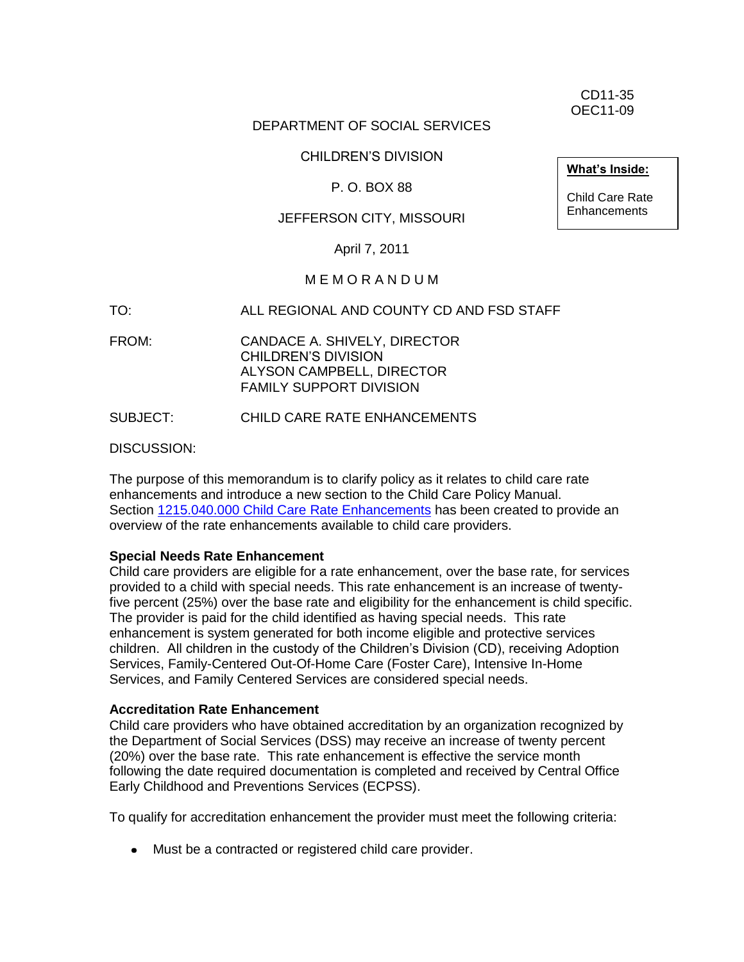CD11-35 OEC11-09

### DEPARTMENT OF SOCIAL SERVICES

### CHILDREN'S DIVISION

### P. O. BOX 88

### JEFFERSON CITY, MISSOURI

April 7, 2011

### M E M O R A N D U M

TO: ALL REGIONAL AND COUNTY CD AND FSD STAFF

FROM: CANDACE A. SHIVELY, DIRECTOR CHILDREN'S DIVISION ALYSON CAMPBELL, DIRECTOR FAMILY SUPPORT DIVISION

SUBJECT: CHILD CARE RATE ENHANCEMENTS

DISCUSSION:

The purpose of this memorandum is to clarify policy as it relates to child care rate enhancements and introduce a new section to the Child Care Policy Manual. Section [1215.040.000 Child Care Rate Enhancements](http://dss.mo.gov/fsd/iman/chldcare/1215-040-00.html) has been created to provide an overview of the rate enhancements available to child care providers.

### **Special Needs Rate Enhancement**

Child care providers are eligible for a rate enhancement, over the base rate, for services provided to a child with special needs. This rate enhancement is an increase of twentyfive percent (25%) over the base rate and eligibility for the enhancement is child specific. The provider is paid for the child identified as having special needs. This rate enhancement is system generated for both income eligible and protective services children. All children in the custody of the Children's Division (CD), receiving Adoption Services, Family-Centered Out-Of-Home Care (Foster Care), Intensive In-Home Services, and Family Centered Services are considered special needs.

### **Accreditation Rate Enhancement**

Child care providers who have obtained accreditation by an organization recognized by the Department of Social Services (DSS) may receive an increase of twenty percent (20%) over the base rate. This rate enhancement is effective the service month following the date required documentation is completed and received by Central Office Early Childhood and Preventions Services (ECPSS).

To qualify for accreditation enhancement the provider must meet the following criteria:

Must be a contracted or registered child care provider.

**What's Inside:**

Child Care Rate Enhancements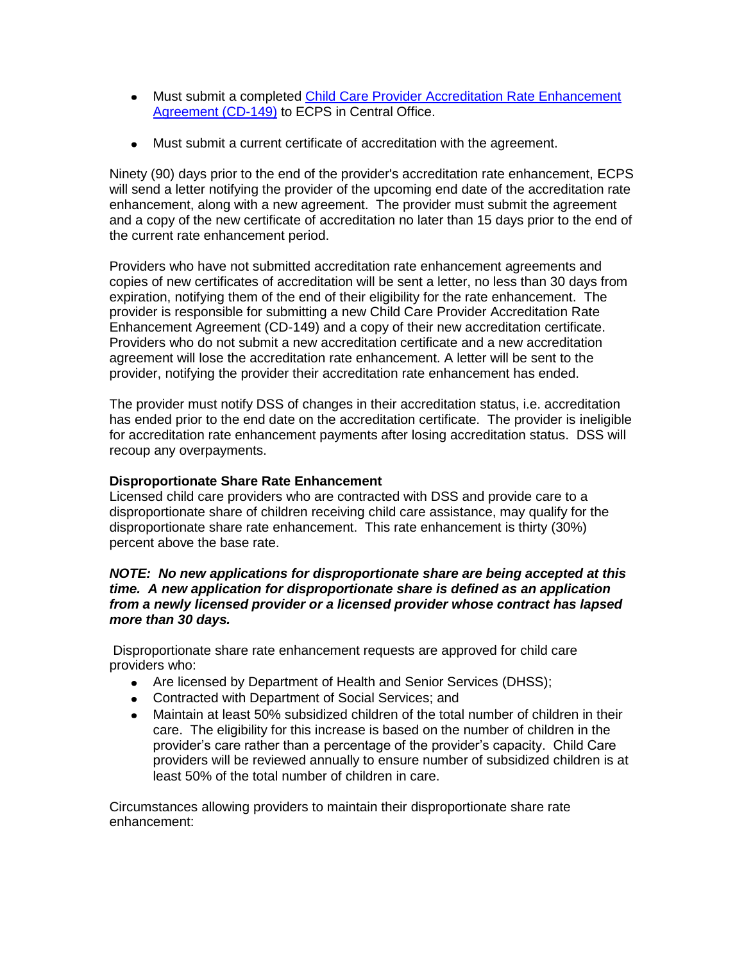- Must submit a completed [Child Care Provider Accreditation Rate Enhancement](http://dss.mo.gov/cd/info/forms/index.htm)  [Agreement \(CD-149\)](http://dss.mo.gov/cd/info/forms/index.htm) to ECPS in Central Office.
- Must submit a current certificate of accreditation with the agreement.

Ninety (90) days prior to the end of the provider's accreditation rate enhancement, ECPS will send a letter notifying the provider of the upcoming end date of the accreditation rate enhancement, along with a new agreement. The provider must submit the agreement and a copy of the new certificate of accreditation no later than 15 days prior to the end of the current rate enhancement period.

Providers who have not submitted accreditation rate enhancement agreements and copies of new certificates of accreditation will be sent a letter, no less than 30 days from expiration, notifying them of the end of their eligibility for the rate enhancement. The provider is responsible for submitting a new Child Care Provider Accreditation Rate Enhancement Agreement (CD-149) and a copy of their new accreditation certificate. Providers who do not submit a new accreditation certificate and a new accreditation agreement will lose the accreditation rate enhancement. A letter will be sent to the provider, notifying the provider their accreditation rate enhancement has ended.

The provider must notify DSS of changes in their accreditation status, i.e. accreditation has ended prior to the end date on the accreditation certificate. The provider is ineligible for accreditation rate enhancement payments after losing accreditation status. DSS will recoup any overpayments.

### **Disproportionate Share Rate Enhancement**

Licensed child care providers who are contracted with DSS and provide care to a disproportionate share of children receiving child care assistance, may qualify for the disproportionate share rate enhancement. This rate enhancement is thirty (30%) percent above the base rate.

### *NOTE: No new applications for disproportionate share are being accepted at this time. A new application for disproportionate share is defined as an application from a newly licensed provider or a licensed provider whose contract has lapsed more than 30 days.*

Disproportionate share rate enhancement requests are approved for child care providers who:

- Are licensed by Department of Health and Senior Services (DHSS);
- Contracted with Department of Social Services; and
- Maintain at least 50% subsidized children of the total number of children in their care. The eligibility for this increase is based on the number of children in the provider's care rather than a percentage of the provider's capacity. Child Care providers will be reviewed annually to ensure number of subsidized children is at least 50% of the total number of children in care.

Circumstances allowing providers to maintain their disproportionate share rate enhancement: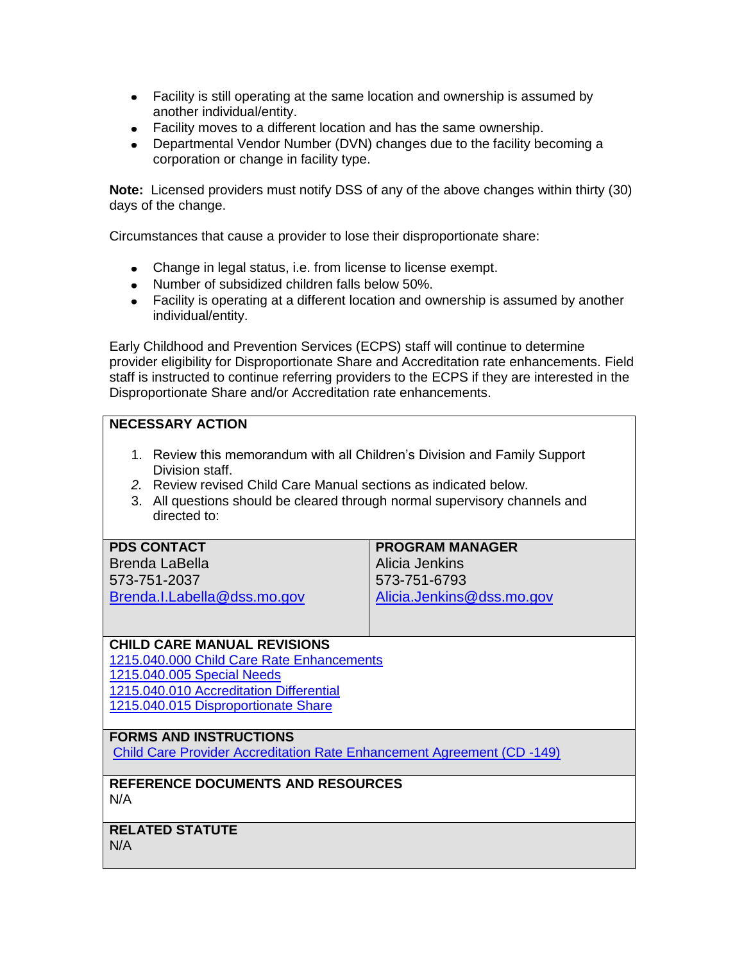- Facility is still operating at the same location and ownership is assumed by another individual/entity.
- Facility moves to a different location and has the same ownership.
- Departmental Vendor Number (DVN) changes due to the facility becoming a corporation or change in facility type.

**Note:** Licensed providers must notify DSS of any of the above changes within thirty (30) days of the change.

Circumstances that cause a provider to lose their disproportionate share:

- Change in legal status, i.e. from license to license exempt.
- Number of subsidized children falls below 50%.
- Facility is operating at a different location and ownership is assumed by another individual/entity.

Early Childhood and Prevention Services (ECPS) staff will continue to determine provider eligibility for Disproportionate Share and Accreditation rate enhancements. Field staff is instructed to continue referring providers to the ECPS if they are interested in the Disproportionate Share and/or Accreditation rate enhancements.

### **NECESSARY ACTION**

- 1. Review this memorandum with all Children's Division and Family Support Division staff.
- *2.* Review revised Child Care Manual sections as indicated below.
- 3. All questions should be cleared through normal supervisory channels and directed to:

| <b>PDS CONTACT</b>          | <b>PROGRAM MANAGER</b>    |
|-----------------------------|---------------------------|
| <b>Brenda LaBella</b>       | Alicia Jenkins            |
| 573-751-2037                | 573-751-6793              |
| Brenda.I.Labella@dss.mo.gov | Alicia.Jenkins@dss.mo.gov |

### **CHILD CARE MANUAL REVISIONS**

[1215.040.000 Child Care Rate Enhancements](http://dss.mo.gov/fsd/iman/chldcare/1215-040-00.html)

[1215.040.005 Special Needs](http://dss.mo.gov/fsd/iman/chldcare/1215-040-00.html#l215.040.005)

[1215.040.010 Accreditation Differential](http://dss.mo.gov/fsd/iman/chldcare/1215-040-00.html#l215.040.010)

[1215.040.015 Disproportionate Share](http://dss.mo.gov/fsd/iman/chldcare/1215-040-00.html#l215.040.015)

### **FORMS AND INSTRUCTIONS**

[Child Care Provider Accreditation Rate Enhancement Agreement \(CD -149\)](http://www.dss.mo.gov/cd/info/forms/index.htm)

### **REFERENCE DOCUMENTS AND RESOURCES** N/A

### **RELATED STATUTE**

N/A